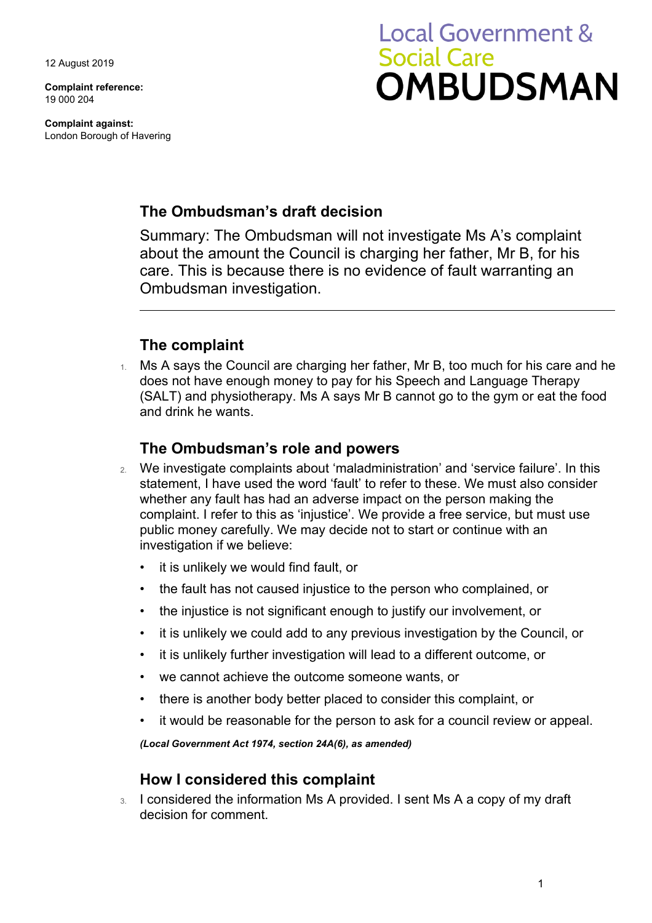12 August 2019

**Complaint reference:**  19 000 204

**Complaint against:**  London Borough of Havering

# **Local Government & Social Care** OMBUDSMAN

# **The Ombudsman's draft decision**

Summary: The Ombudsman will not investigate Ms A's complaint about the amount the Council is charging her father, Mr B, for his care. This is because there is no evidence of fault warranting an Ombudsman investigation.

# **The complaint**

 $1.$  Ms A says the Council are charging her father, Mr B, too much for his care and he (SALT) and physiotherapy. Ms A says Mr B cannot go to the gym or eat the food does not have enough money to pay for his Speech and Language Therapy and drink he wants.

### **The Ombudsman's role and powers**

- 2. We investigate complaints about 'maladministration' and 'service failure'. In this statement, I have used the word 'fault' to refer to these. We must also consider whether any fault has had an adverse impact on the person making the complaint. I refer to this as 'injustice'. We provide a free service, but must use public money carefully. We may decide not to start or continue with an investigation if we believe:
	- it is unlikely we would find fault, or
	- the fault has not caused injustice to the person who complained, or
	- the injustice is not significant enough to justify our involvement, or
	- it is unlikely we could add to any previous investigation by the Council, or
	- it is unlikely further investigation will lead to a different outcome, or
	- we cannot achieve the outcome someone wants, or
	- there is another body better placed to consider this complaint, or
	- it would be reasonable for the person to ask for a council review or appeal.

*(Local Government Act 1974, section 24A(6), as amended)* 

#### **How I considered this complaint**

3. I considered the information Ms A provided. I sent Ms A a copy of my draft decision for comment.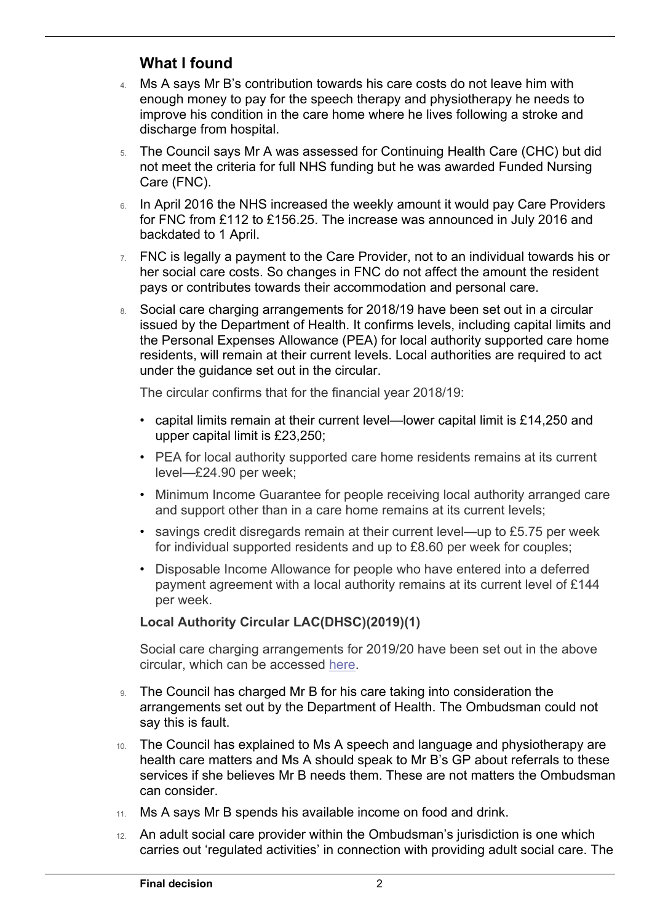# **What I found**

 $\overline{a}$ 

- 4. Ms A says Mr B's contribution towards his care costs do not leave him with enough money to pay for the speech therapy and physiotherapy he needs to improve his condition in the care home where he lives following a stroke and discharge from hospital.
- not meet the criteria for full NHS funding but he was awarded Funded Nursing Care (FNC). 5. The Council says Mr A was assessed for Continuing Health Care (CHC) but did
- backdated to 1 April. 6. In April 2016 the NHS increased the weekly amount it would pay Care Providers for FNC from £112 to £156.25. The increase was announced in July 2016 and
- $7.$  FNC is legally a payment to the Care Provider, not to an individual towards his or her social care costs. So changes in FNC do not affect the amount the resident pays or contributes towards their accommodation and personal care.
- under the guidance set out in the circular. 8. Social care charging arrangements for 2018/19 have been set out in a circular issued by the Department of Health. It confirms levels, including capital limits and the Personal Expenses Allowance (PEA) for local authority supported care home residents, will remain at their current levels. Local authorities are required to act

The circular confirms that for the financial year 2018/19:

- capital limits remain at their current level—lower capital limit is £14,250 and upper capital limit is £23,250;
- PEA for local authority supported care home residents remains at its current [level—£24.90](https://level��24.90) per week;
- Minimum Income Guarantee for people receiving local authority arranged care and support other than in a care home remains at its current levels;
- for individual supported residents and up to £8.60 per week for couples; • savings credit disregards remain at their current level—up to £5.75 per week
- Disposable Income Allowance for people who have entered into a deferred payment agreement with a local authority remains at its current level of £144 per week.

#### **Local Authority Circular LAC(DHSC)(2019)(1)**

Social care charging arrangements for 2019/20 have been set out in the above circular, which can be accessed [here](http://www.gov.uk/government/publications/social-care-charging-for-local-authorities-2019-to-2020).

- 9. The Council has charged Mr B for his care taking into consideration the arrangements set out by the Department of Health. The Ombudsman could not say this is fault.
- 10. The Council has explained to Ms A speech and language and physiotherapy are health care matters and Ms A should speak to Mr B's GP about referrals to these services if she believes Mr B needs them. These are not matters the Ombudsman can consider.
- 11. Ms A says Mr B spends his available income on food and drink.
- 12. An adult social care provider within the Ombudsman's jurisdiction is one which carries out 'regulated activities' in connection with providing adult social care. The